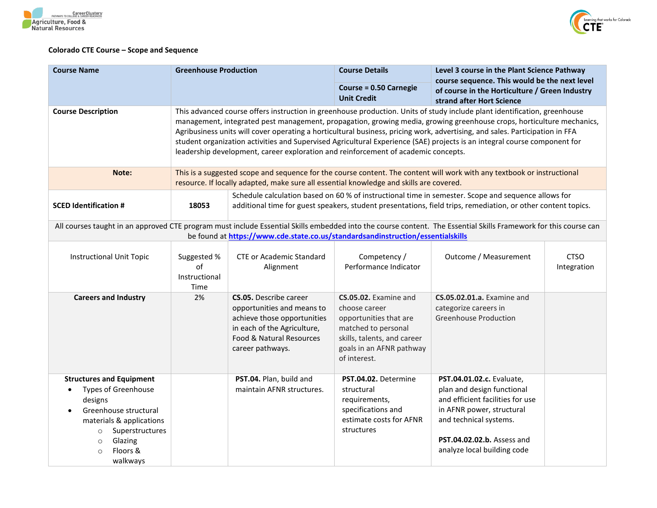



## **Colorado CTE Course – Scope and Sequence**

| <b>Course Name</b><br><b>Greenhouse Production</b>                                                                                                                                                                                 |                                                                                                                                                                                                                                                                                                                                                                                                                                                                                                                                                                                                       | <b>Course Details</b>                                                                                                                                                     | Level 3 course in the Plant Science Pathway<br>course sequence. This would be the next level                                                                       |                                                                                                                                                                                                                        |                            |
|------------------------------------------------------------------------------------------------------------------------------------------------------------------------------------------------------------------------------------|-------------------------------------------------------------------------------------------------------------------------------------------------------------------------------------------------------------------------------------------------------------------------------------------------------------------------------------------------------------------------------------------------------------------------------------------------------------------------------------------------------------------------------------------------------------------------------------------------------|---------------------------------------------------------------------------------------------------------------------------------------------------------------------------|--------------------------------------------------------------------------------------------------------------------------------------------------------------------|------------------------------------------------------------------------------------------------------------------------------------------------------------------------------------------------------------------------|----------------------------|
|                                                                                                                                                                                                                                    | <b>Course = 0.50 Carnegie</b><br>of course in the Horticulture / Green Industry<br><b>Unit Credit</b><br>strand after Hort Science                                                                                                                                                                                                                                                                                                                                                                                                                                                                    |                                                                                                                                                                           |                                                                                                                                                                    |                                                                                                                                                                                                                        |                            |
| <b>Course Description</b>                                                                                                                                                                                                          | This advanced course offers instruction in greenhouse production. Units of study include plant identification, greenhouse<br>management, integrated pest management, propagation, growing media, growing greenhouse crops, horticulture mechanics,<br>Agribusiness units will cover operating a horticultural business, pricing work, advertising, and sales. Participation in FFA<br>student organization activities and Supervised Agricultural Experience (SAE) projects is an integral course component for<br>leadership development, career exploration and reinforcement of academic concepts. |                                                                                                                                                                           |                                                                                                                                                                    |                                                                                                                                                                                                                        |                            |
| Note:                                                                                                                                                                                                                              |                                                                                                                                                                                                                                                                                                                                                                                                                                                                                                                                                                                                       | resource. If locally adapted, make sure all essential knowledge and skills are covered.                                                                                   |                                                                                                                                                                    | This is a suggested scope and sequence for the course content. The content will work with any textbook or instructional                                                                                                |                            |
| <b>SCED Identification #</b>                                                                                                                                                                                                       | Schedule calculation based on 60 % of instructional time in semester. Scope and sequence allows for<br>additional time for guest speakers, student presentations, field trips, remediation, or other content topics.<br>18053                                                                                                                                                                                                                                                                                                                                                                         |                                                                                                                                                                           |                                                                                                                                                                    |                                                                                                                                                                                                                        |                            |
| All courses taught in an approved CTE program must include Essential Skills embedded into the course content. The Essential Skills Framework for this course can                                                                   |                                                                                                                                                                                                                                                                                                                                                                                                                                                                                                                                                                                                       | be found at https://www.cde.state.co.us/standardsandinstruction/essentialskills                                                                                           |                                                                                                                                                                    |                                                                                                                                                                                                                        |                            |
| <b>Instructional Unit Topic</b>                                                                                                                                                                                                    | Suggested %<br>of<br>Instructional<br>Time                                                                                                                                                                                                                                                                                                                                                                                                                                                                                                                                                            | <b>CTE or Academic Standard</b><br>Alignment                                                                                                                              | Competency /<br>Performance Indicator                                                                                                                              | Outcome / Measurement                                                                                                                                                                                                  | <b>CTSO</b><br>Integration |
| <b>Careers and Industry</b>                                                                                                                                                                                                        | 2%                                                                                                                                                                                                                                                                                                                                                                                                                                                                                                                                                                                                    | <b>CS.05.</b> Describe career<br>opportunities and means to<br>achieve those opportunities<br>in each of the Agriculture,<br>Food & Natural Resources<br>career pathways. | CS.05.02. Examine and<br>choose career<br>opportunities that are<br>matched to personal<br>skills, talents, and career<br>goals in an AFNR pathway<br>of interest. | <b>CS.05.02.01.a.</b> Examine and<br>categorize careers in<br><b>Greenhouse Production</b>                                                                                                                             |                            |
| <b>Structures and Equipment</b><br><b>Types of Greenhouse</b><br>$\bullet$<br>designs<br>Greenhouse structural<br>materials & applications<br>Superstructures<br>$\circ$<br>Glazing<br>$\circ$<br>Floors &<br>$\Omega$<br>walkways |                                                                                                                                                                                                                                                                                                                                                                                                                                                                                                                                                                                                       | PST.04. Plan, build and<br>maintain AFNR structures.                                                                                                                      | PST.04.02. Determine<br>structural<br>requirements,<br>specifications and<br>estimate costs for AFNR<br>structures                                                 | PST.04.01.02.c. Evaluate,<br>plan and design functional<br>and efficient facilities for use<br>in AFNR power, structural<br>and technical systems.<br><b>PST.04.02.02.b.</b> Assess and<br>analyze local building code |                            |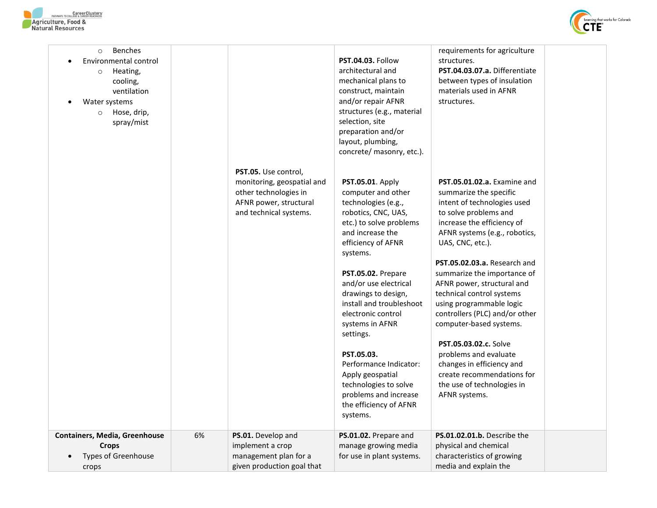



| <b>Benches</b><br>$\circ$<br>Environmental control<br>Heating,<br>$\circ$<br>cooling,<br>ventilation<br>Water systems<br>Hose, drip,<br>$\circ$<br>spray/mist |    |                                                                                                                                 | <b>PST.04.03. Follow</b><br>architectural and<br>mechanical plans to<br>construct, maintain<br>and/or repair AFNR<br>structures (e.g., material<br>selection, site<br>preparation and/or<br>layout, plumbing,<br>concrete/ masonry, etc.).                                                                                                                                                                                                                                        | requirements for agriculture<br>structures.<br>PST.04.03.07.a. Differentiate<br>between types of insulation<br>materials used in AFNR<br>structures.                                                                                                                                                                                                                                                                                                                                                                                                                            |  |
|---------------------------------------------------------------------------------------------------------------------------------------------------------------|----|---------------------------------------------------------------------------------------------------------------------------------|-----------------------------------------------------------------------------------------------------------------------------------------------------------------------------------------------------------------------------------------------------------------------------------------------------------------------------------------------------------------------------------------------------------------------------------------------------------------------------------|---------------------------------------------------------------------------------------------------------------------------------------------------------------------------------------------------------------------------------------------------------------------------------------------------------------------------------------------------------------------------------------------------------------------------------------------------------------------------------------------------------------------------------------------------------------------------------|--|
|                                                                                                                                                               |    | PST.05. Use control,<br>monitoring, geospatial and<br>other technologies in<br>AFNR power, structural<br>and technical systems. | PST.05.01. Apply<br>computer and other<br>technologies (e.g.,<br>robotics, CNC, UAS,<br>etc.) to solve problems<br>and increase the<br>efficiency of AFNR<br>systems.<br>PST.05.02. Prepare<br>and/or use electrical<br>drawings to design,<br>install and troubleshoot<br>electronic control<br>systems in AFNR<br>settings.<br>PST.05.03.<br>Performance Indicator:<br>Apply geospatial<br>technologies to solve<br>problems and increase<br>the efficiency of AFNR<br>systems. | PST.05.01.02.a. Examine and<br>summarize the specific<br>intent of technologies used<br>to solve problems and<br>increase the efficiency of<br>AFNR systems (e.g., robotics,<br>UAS, CNC, etc.).<br>PST.05.02.03.a. Research and<br>summarize the importance of<br>AFNR power, structural and<br>technical control systems<br>using programmable logic<br>controllers (PLC) and/or other<br>computer-based systems.<br>PST.05.03.02.c. Solve<br>problems and evaluate<br>changes in efficiency and<br>create recommendations for<br>the use of technologies in<br>AFNR systems. |  |
| <b>Containers, Media, Greenhouse</b>                                                                                                                          | 6% | PS.01. Develop and                                                                                                              | PS.01.02. Prepare and                                                                                                                                                                                                                                                                                                                                                                                                                                                             | PS.01.02.01.b. Describe the                                                                                                                                                                                                                                                                                                                                                                                                                                                                                                                                                     |  |
| <b>Crops</b>                                                                                                                                                  |    | implement a crop                                                                                                                | manage growing media                                                                                                                                                                                                                                                                                                                                                                                                                                                              | physical and chemical                                                                                                                                                                                                                                                                                                                                                                                                                                                                                                                                                           |  |
| <b>Types of Greenhouse</b>                                                                                                                                    |    | management plan for a                                                                                                           | for use in plant systems.                                                                                                                                                                                                                                                                                                                                                                                                                                                         | characteristics of growing                                                                                                                                                                                                                                                                                                                                                                                                                                                                                                                                                      |  |
|                                                                                                                                                               |    | given production goal that                                                                                                      |                                                                                                                                                                                                                                                                                                                                                                                                                                                                                   | media and explain the                                                                                                                                                                                                                                                                                                                                                                                                                                                                                                                                                           |  |
| crops                                                                                                                                                         |    |                                                                                                                                 |                                                                                                                                                                                                                                                                                                                                                                                                                                                                                   |                                                                                                                                                                                                                                                                                                                                                                                                                                                                                                                                                                                 |  |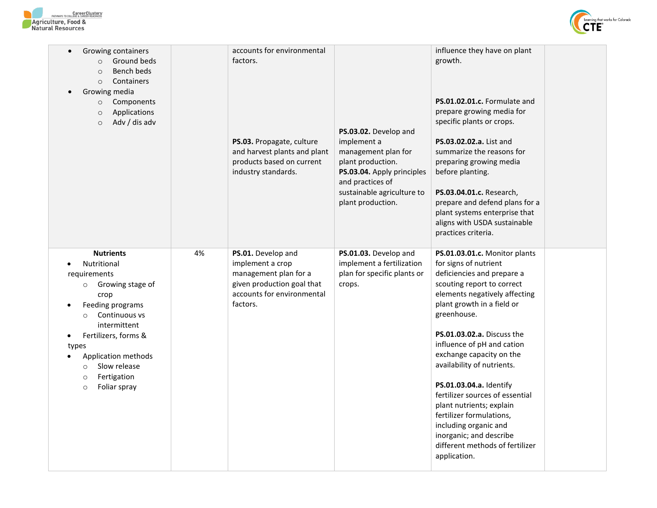



| Growing containers<br>$\bullet$<br>Ground beds<br>$\circ$<br>Bench beds<br>$\circ$<br>Containers<br>$\circ$<br>Growing media<br>Components<br>$\circ$<br>Applications<br>$\circ$<br>Adv / dis adv<br>$\circ$                                                                                                  |    | accounts for environmental<br>factors.<br>PS.03. Propagate, culture<br>and harvest plants and plant<br>products based on current<br>industry standards. | PS.03.02. Develop and<br>implement a<br>management plan for<br>plant production.<br>PS.03.04. Apply principles<br>and practices of<br>sustainable agriculture to<br>plant production. | influence they have on plant<br>growth.<br>PS.01.02.01.c. Formulate and<br>prepare growing media for<br>specific plants or crops.<br>PS.03.02.02.a. List and<br>summarize the reasons for<br>preparing growing media<br>before planting.<br>PS.03.04.01.c. Research,<br>prepare and defend plans for a<br>plant systems enterprise that<br>aligns with USDA sustainable<br>practices criteria.                                                                                                                                                      |  |
|---------------------------------------------------------------------------------------------------------------------------------------------------------------------------------------------------------------------------------------------------------------------------------------------------------------|----|---------------------------------------------------------------------------------------------------------------------------------------------------------|---------------------------------------------------------------------------------------------------------------------------------------------------------------------------------------|-----------------------------------------------------------------------------------------------------------------------------------------------------------------------------------------------------------------------------------------------------------------------------------------------------------------------------------------------------------------------------------------------------------------------------------------------------------------------------------------------------------------------------------------------------|--|
| <b>Nutrients</b><br>Nutritional<br>requirements<br>Growing stage of<br>$\circ$<br>crop<br>Feeding programs<br>$\bullet$<br>Continuous vs<br>intermittent<br>Fertilizers, forms &<br>$\bullet$<br>types<br>Application methods<br>Slow release<br>$\circ$<br>Fertigation<br>$\circ$<br>Foliar spray<br>$\circ$ | 4% | PS.01. Develop and<br>implement a crop<br>management plan for a<br>given production goal that<br>accounts for environmental<br>factors.                 | PS.01.03. Develop and<br>implement a fertilization<br>plan for specific plants or<br>crops.                                                                                           | PS.01.03.01.c. Monitor plants<br>for signs of nutrient<br>deficiencies and prepare a<br>scouting report to correct<br>elements negatively affecting<br>plant growth in a field or<br>greenhouse.<br>PS.01.03.02.a. Discuss the<br>influence of pH and cation<br>exchange capacity on the<br>availability of nutrients.<br>PS.01.03.04.a. Identify<br>fertilizer sources of essential<br>plant nutrients; explain<br>fertilizer formulations,<br>including organic and<br>inorganic; and describe<br>different methods of fertilizer<br>application. |  |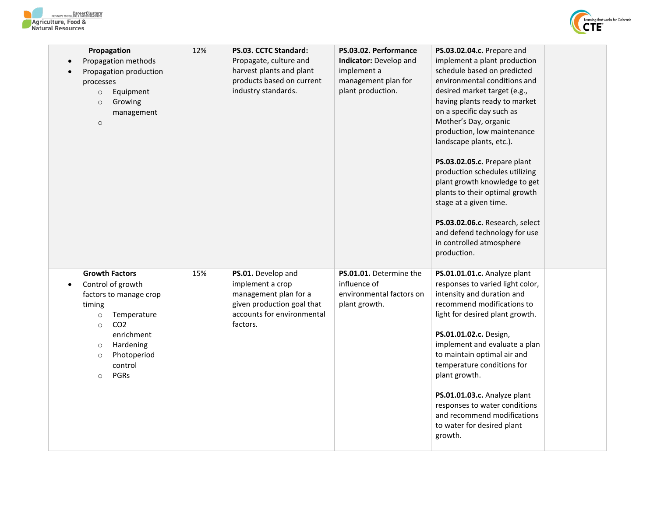



| Propagation<br>Propagation methods<br>Propagation production<br>processes<br>Equipment<br>$\circ$<br>Growing<br>$\circ$<br>management<br>$\circ$                                                                                     | 12% | <b>PS.03. CCTC Standard:</b><br>Propagate, culture and<br>harvest plants and plant<br>products based on current<br>industry standards.  | PS.03.02. Performance<br><b>Indicator:</b> Develop and<br>implement a<br>management plan for<br>plant production. | PS.03.02.04.c. Prepare and<br>implement a plant production<br>schedule based on predicted<br>environmental conditions and<br>desired market target (e.g.,<br>having plants ready to market<br>on a specific day such as<br>Mother's Day, organic<br>production, low maintenance<br>landscape plants, etc.).<br>PS.03.02.05.c. Prepare plant<br>production schedules utilizing<br>plant growth knowledge to get<br>plants to their optimal growth<br>stage at a given time.<br>PS.03.02.06.c. Research, select<br>and defend technology for use<br>in controlled atmosphere<br>production. |
|--------------------------------------------------------------------------------------------------------------------------------------------------------------------------------------------------------------------------------------|-----|-----------------------------------------------------------------------------------------------------------------------------------------|-------------------------------------------------------------------------------------------------------------------|-------------------------------------------------------------------------------------------------------------------------------------------------------------------------------------------------------------------------------------------------------------------------------------------------------------------------------------------------------------------------------------------------------------------------------------------------------------------------------------------------------------------------------------------------------------------------------------------|
| <b>Growth Factors</b><br>Control of growth<br>factors to manage crop<br>timing<br>Temperature<br>$\circ$<br>CO <sub>2</sub><br>$\circ$<br>enrichment<br>Hardening<br>$\circ$<br>Photoperiod<br>$\circ$<br>control<br>PGRs<br>$\circ$ | 15% | PS.01. Develop and<br>implement a crop<br>management plan for a<br>given production goal that<br>accounts for environmental<br>factors. | PS.01.01. Determine the<br>influence of<br>environmental factors on<br>plant growth.                              | PS.01.01.01.c. Analyze plant<br>responses to varied light color,<br>intensity and duration and<br>recommend modifications to<br>light for desired plant growth.<br>PS.01.01.02.c. Design,<br>implement and evaluate a plan<br>to maintain optimal air and<br>temperature conditions for<br>plant growth.<br>PS.01.01.03.c. Analyze plant<br>responses to water conditions<br>and recommend modifications<br>to water for desired plant<br>growth.                                                                                                                                         |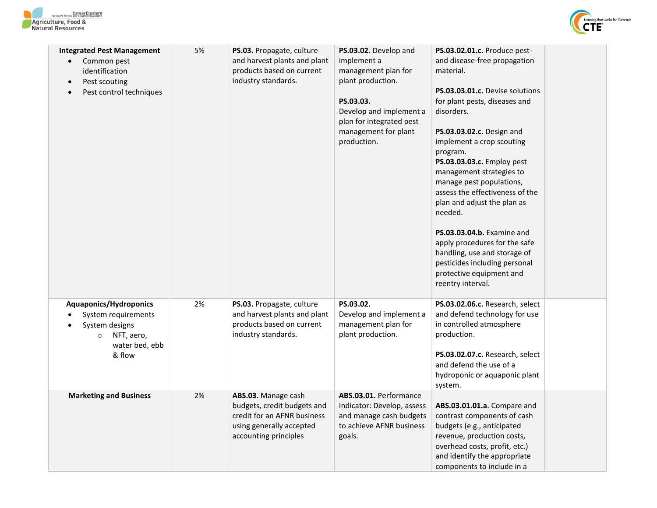



| <b>Integrated Pest Management</b><br>Common pest<br>$\bullet$<br>identification<br>Pest scouting<br>$\bullet$<br>Pest control techniques<br>$\bullet$ | 5% | PS.03. Propagate, culture<br>and harvest plants and plant<br>products based on current<br>industry standards.                          | PS.03.02. Develop and<br>implement a<br>management plan for<br>plant production.<br>PS.03.03.<br>Develop and implement a<br>plan for integrated pest<br>management for plant<br>production. | PS.03.02.01.c. Produce pest-<br>and disease-free propagation<br>material.<br>PS.03.03.01.c. Devise solutions<br>for plant pests, diseases and<br>disorders.<br>PS.03.03.02.c. Design and<br>implement a crop scouting<br>program.<br>PS.03.03.03.c. Employ pest<br>management strategies to<br>manage pest populations,<br>assess the effectiveness of the<br>plan and adjust the plan as<br>needed.<br><b>PS.03.03.04.b.</b> Examine and<br>apply procedures for the safe<br>handling, use and storage of<br>pesticides including personal<br>protective equipment and<br>reentry interval. |
|-------------------------------------------------------------------------------------------------------------------------------------------------------|----|----------------------------------------------------------------------------------------------------------------------------------------|---------------------------------------------------------------------------------------------------------------------------------------------------------------------------------------------|----------------------------------------------------------------------------------------------------------------------------------------------------------------------------------------------------------------------------------------------------------------------------------------------------------------------------------------------------------------------------------------------------------------------------------------------------------------------------------------------------------------------------------------------------------------------------------------------|
| <b>Aquaponics/Hydroponics</b><br>System requirements<br>System designs<br>NFT, aero,<br>$\circ$<br>water bed, ebb<br>& flow                           | 2% | PS.03. Propagate, culture<br>and harvest plants and plant<br>products based on current<br>industry standards.                          | PS.03.02.<br>Develop and implement a<br>management plan for<br>plant production.                                                                                                            | PS.03.02.06.c. Research, select<br>and defend technology for use<br>in controlled atmosphere<br>production.<br>PS.03.02.07.c. Research, select<br>and defend the use of a<br>hydroponic or aquaponic plant<br>system.                                                                                                                                                                                                                                                                                                                                                                        |
| <b>Marketing and Business</b>                                                                                                                         | 2% | ABS.03. Manage cash<br>budgets, credit budgets and<br>credit for an AFNR business<br>using generally accepted<br>accounting principles | ABS.03.01. Performance<br>Indicator: Develop, assess<br>and manage cash budgets<br>to achieve AFNR business<br>goals.                                                                       | ABS.03.01.01.a. Compare and<br>contrast components of cash<br>budgets (e.g., anticipated<br>revenue, production costs,<br>overhead costs, profit, etc.)<br>and identify the appropriate<br>components to include in a                                                                                                                                                                                                                                                                                                                                                                        |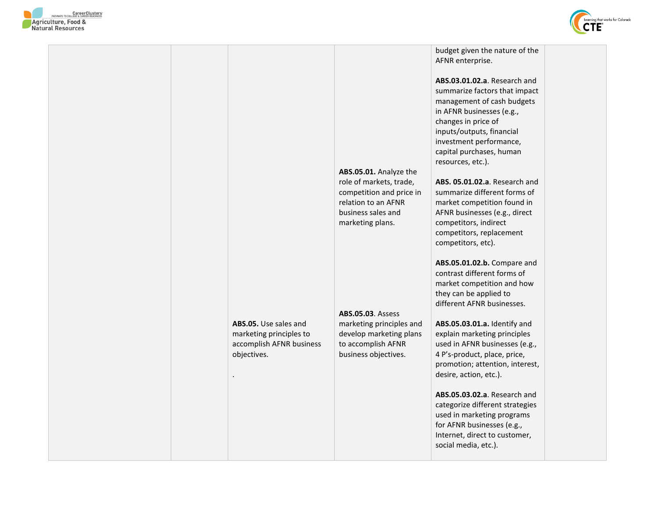



|  | ABS.05. Use sales and<br>marketing principles to<br>accomplish AFNR business<br>objectives.<br>$\blacksquare$ | ABS.05.01. Analyze the<br>role of markets, trade,<br>competition and price in<br>relation to an AFNR<br>business sales and<br>marketing plans.<br><b>ABS.05.03. Assess</b><br>marketing principles and<br>develop marketing plans<br>to accomplish AFNR<br>business objectives. | budget given the nature of the<br>AFNR enterprise.<br>ABS.03.01.02.a. Research and<br>summarize factors that impact<br>management of cash budgets<br>in AFNR businesses (e.g.,<br>changes in price of<br>inputs/outputs, financial<br>investment performance,<br>capital purchases, human<br>resources, etc.).<br>ABS. 05.01.02.a. Research and<br>summarize different forms of<br>market competition found in<br>AFNR businesses (e.g., direct<br>competitors, indirect<br>competitors, replacement<br>competitors, etc).<br>ABS.05.01.02.b. Compare and<br>contrast different forms of<br>market competition and how<br>they can be applied to<br>different AFNR businesses.<br>ABS.05.03.01.a. Identify and<br>explain marketing principles<br>used in AFNR businesses (e.g.,<br>4 P's-product, place, price,<br>promotion; attention, interest,<br>desire, action, etc.).<br>ABS.05.03.02.a. Research and<br>categorize different strategies |  |
|--|---------------------------------------------------------------------------------------------------------------|---------------------------------------------------------------------------------------------------------------------------------------------------------------------------------------------------------------------------------------------------------------------------------|--------------------------------------------------------------------------------------------------------------------------------------------------------------------------------------------------------------------------------------------------------------------------------------------------------------------------------------------------------------------------------------------------------------------------------------------------------------------------------------------------------------------------------------------------------------------------------------------------------------------------------------------------------------------------------------------------------------------------------------------------------------------------------------------------------------------------------------------------------------------------------------------------------------------------------------------------|--|
|  |                                                                                                               |                                                                                                                                                                                                                                                                                 | used in marketing programs<br>for AFNR businesses (e.g.,<br>Internet, direct to customer,<br>social media, etc.).                                                                                                                                                                                                                                                                                                                                                                                                                                                                                                                                                                                                                                                                                                                                                                                                                                |  |